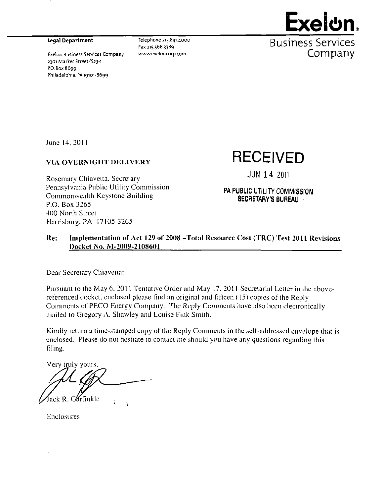2301 Market Street/S23-i P.O. Box 8699 Philadelphia, PA 19101-8699



Legal Department  $T^{[e]eph \, one \, 215.841.4000}$  .  $R_{11}$ Cinpcc  $S$ prv $n$ i $\cap$ pc Fax 215.568.3389 DUOIIICO DE L'UCED Exelon Business Services Company www.exeloncorp.com **COMPANY** 

June 14, 2011

## **VIA OVERNIGHT DELIVERY RECEIVED**

Rosemary Chiavetta, Secretary *Pennsylvania Public Utility Commission*<br> **PA PUBLIC UTILITY COMMISSION** Commonwealth Keystone Building SECRETARY'S BUREAU P.O. Box 3265 400 North Street Harrisburg. PA 17105-3265

**JUN 14 2011** 

#### Re: Implementation of Act 129 of 2008 -Total Resource Cost (TRC) Test 2011 Revisions Docket No. M-2009-2108601

Dear Secretary Chiavetta:

Pursuant lo the May 6. 2011 Tentative Order and May 17. 2011 Secretarial Letter in ihe abovereferenced docket, enclosed please find an original and fifteen (15) copies of the Reply Comments of PECO Energy Company. The Reply Comments have also been electronically mailed to Gregory A. Shawley and Louise Fink Smith.

Kindly return a time-stamped copy of the Reply Comments in the self-addressed envelope that is enclosed. Please do not hesitate to contact me should you have any questions regarding this filine.

Very truly yours. Krfinkle

Enclosures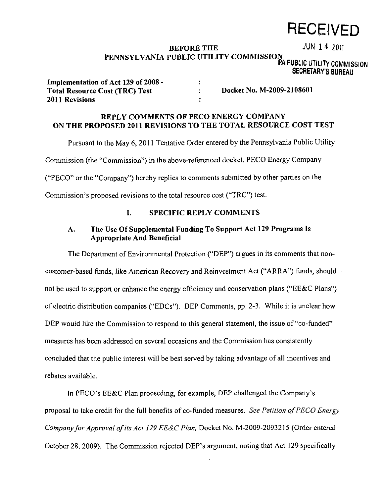# **RECEIVED**

### BEFORE THE JUN 14 2011 **PENNSYLVANIA PUBLIC UTILITY COMMISSION**

 $\ddot{\phantom{a}}$  $\ddot{\cdot}$  PA PUBLIC UTILITY COMMISSION SECRETARY'S BUREAU

| Implementation of Act 129 of 2008 -   |
|---------------------------------------|
| <b>Total Resource Cost (TRC) Test</b> |
| 2011 Revisions                        |

**Docket No. M-2009-2108601** 

### **REPLY COMMENTS OF PECO ENERGY COMPANY ON THE PROPOSED 2011 REVISIONS TO THE TOTAL RESOURCE COST TEST**

Pursuant to the May 6, 2011 Tentative Order entered by the Pennsylvania Public Utility Commission (the "Commission") in the above-referenced docket, PECO Energy Company ("PECO" or the "Company") hereby replies to comments submitted by other parties on the

Commission's proposed revisions to the total resource cost ("TRC") test.

#### **I. SPECIFIC REPLY COMMENTS**

#### **A. The Use Of Supplemental Funding To Support Act 129 Programs Is Appropriate And Beneficial**

The Department of Environmental Protection ("DEP") argues in its comments that noncustomer-based funds, like American Recovery and Reinvestment Act ("ARRA") funds, should • not be used to support or enhance the energy efficiency and conservation plans ("EE&C Plans") of electric distribution companies ("EDCs"). DEP Comments, pp. 2-3. While it is unclear how DEP would like the Commission to respond to this general statement, the issue of "co-funded" measures has been addressed on several occasions and the Commission has consistently concluded that the public interest will be best served by taking advantage of all incentives and rebates available.

In PECO's EE&C Plan proceeding, for example, DEP challenged the Company's proposal to take credit for the full benefits of co-funded measures. See Petition of PECO Energy Company for Approval of its Act 129 EE&C Plan, Docket No. M-2009-2093215 (Order entered October 28, 2009). The Commission rejected DEP's argument, noting that Act 129 specifically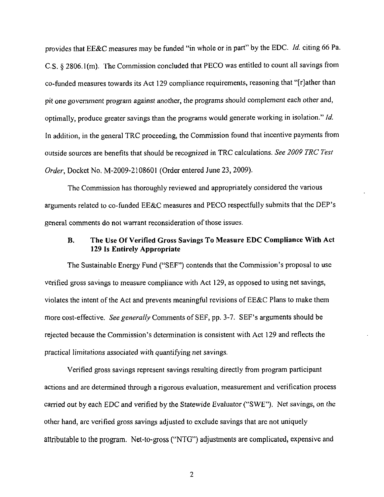provides that EE&C measures may be funded "in whole or in part" by the EDC. Id. citing 66 Pa. C.S. § 2806. l(m). The Commission concluded that PECO was entitled to count all savings from co-funded measures towards its Act 129 compliance requirements, reasoning that "[rjather than pit one government program against another, the programs should complement each other and, *optimally, produce greater savings than the programs would generate working in isolation." Id.*  In addition, in the general TRC proceeding, the Commission found that incentive payments from *outside sources are benefits that should be recognized in TRC calculations. See 2009 TRC Test*  Order, Docket No. M-2009-2108601 (Order entered June 23, 2009).

The Commission has thoroughly reviewed and appropriately considered the various arguments related to co-funded EE&C measures and PECO respectfully submits that the DEP's general comments do not warrant reconsideration of those issues.

#### **B. The Use Of Verified Gross Savings To Measure EDC Compliance With Act 129 Is Entirely Appropriate**

The Sustainable Energy Fund ("SEF") contends that the Commission's proposal to use verified gross savings to measure compliance with Act 129, as opposed to using net savings, violates the intent of the Act and prevents meaningful revisions of EE&C Plans to make them more cost-effective. See generally Comments of SEF, pp. 3-7. SEF's arguments should be rejected because the Commission's determination is consistent with Act 129 and reflects the practical limitations associated with quantifying net savings.

Verified gross savings represent savings resulting directly from program participant actions and are determined through a rigorous evaluation, measurement and verification process carried out by each EDC and verified by the Statewide Evatuator ("SWE"). Net savings, on the other hand, are verified gross savings adjusted to exclude savings that are not uniquely attributable to the program. Net-to-gross ("NTG") adjustments are complicated, expensive and

 $\overline{2}$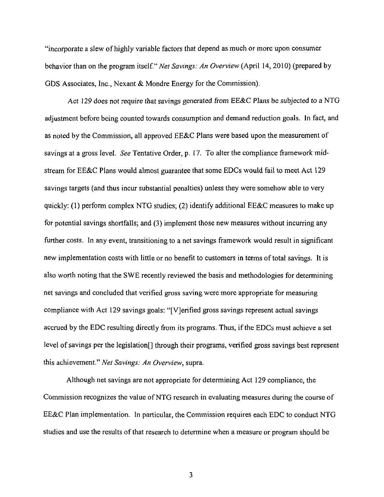"incorporate a slew of highly variable factors that depend as much or more upon consumer behavior than on the program itself." Net Savings: An Overview (April 14, 2010) (prepared by GDS Associates, Inc., Nexant & Mondre Energy for the Commission).

Act 129 does not require that savings generated from EE&C Plans be subjected to a NTG adjustment before being counted towards consumption and demand reduction goals. In fact, and as noted by the Commission, all approved EE&C Plans were based upon the measurement of savings at a gross level. See Tentative Order, p. 17. To alter the compliance framework midstream for EE&C Plans would almost guarantee that some EDCs would fail to meet Act 129 savings targets (and thus incur substantial penalties) unless they were somehow able to very quickly: (1) perform complex NTG studies; (2) identify additional EE&C measures to make up for potential savings shortfalls; and (3) implement those new measures without incurring any further costs. In any event, transitioning to a net savings framework would result in significant new implementation costs with little or no benefit to customers in terms of total savings. It is also worth noting that the SWE recently reviewed the basis and methodologies for determining net savings and concluded that verified gross saving were more appropriate for measuring compliance with Act 129 savings goals: "[VJerified gross savings represent actual savings accrued by the EDC resulting directly from its programs. Thus, if the EDCs must achieve a set level of savings per the legislation<sup> $\eta$ </sup> through their programs, verified gross savings best represent this achievement." Net Savings: An Overview, supra.

Although net savings are not appropriate for determining Act 129 compliance, the Commission recognizes the value of NTG research in evaluating measures during the course of EE&C Plan implementation. In particular, the Commission requires each EDC to conduct NTG studies and use the results of that research to determine when a measure or program should be

 $\mathbf{3}$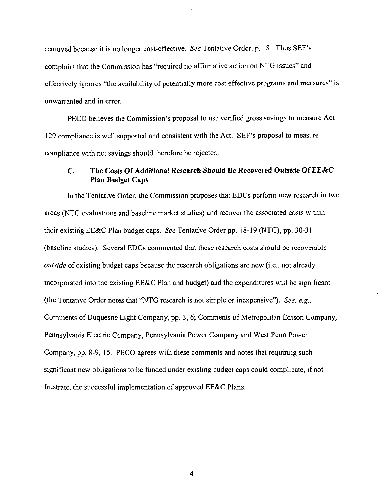removed because it is no longer cost-effective. See Tentative Order, p. 18. Thus SEF's complaint that the Commission has "required no affirmative action on NTG issues" and effectively ignores "the availability of potentially more cost effective programs and measures" is unwarranted and in error.

PECO believes the Commission's proposal to use verified gross savings to measure Act 129 compliance is well supported and consistent with the Act. SEF's proposal to measure compliance with net savings should therefore be rejected.

#### **C. The Costs Of Additional Research Should Be Recovered Outside Of EE&C Plan Budget Caps**

In the Tentative Order, the Commission proposes that EDCs perform new research in two areas (NTG evaluations and baseline market studies) and recover the associated costs within their existing EE&C Plan budget caps. See Tentative Order pp. 18-19 (NTG), pp. 30-31 (baseline studies). Several EDCs commented that these research costs should be recoverable outside of existing budget caps because the research obligations are new (i.e., not already incorporated into the existing EE&C Plan and budget) and the expenditures will be significant (the Tentative Order notes that "NTG research is not simple or inexpensive"). See, e.g., Comments of Duquesne Light Company, pp. 3, 6; Comments of Metropolitan Edison Company, Pennsylvania Electric Company, Pennsylvania Power Company and West Penn Power Company, pp. 8-9, 15. PECO agrees with these comments and notes that requiring such significant new obligations to be funded under existing budget caps could complicate, if not frustrate, the successful implementation of approved EE&C Plans.

 $\overline{4}$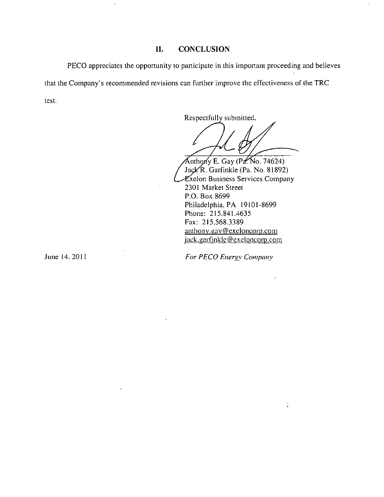#### **II. CONCLUSION**

PECO appreciates the opportunity to participate in this important proceeding and believes that the Company's recommended revisions can further improve the effectiveness of the TRC test.

Respectfully submitted.

Anthony E. Gay  $(Pd, No. 74624)$ Jack R. Garfinkle (Pa. No. 81892) Txelon Business Services Company 2301 Market Street P.O. Box 8699 Philadelphia, PA 19101-8699 Phone: 215.841.4635 Fax: 215.568.3389 anthony.gay@exeloncorp.com jack.garfinkle@exeloncorp.com

June 14. 2011 *For PECO Energy Company* 

Ğ.